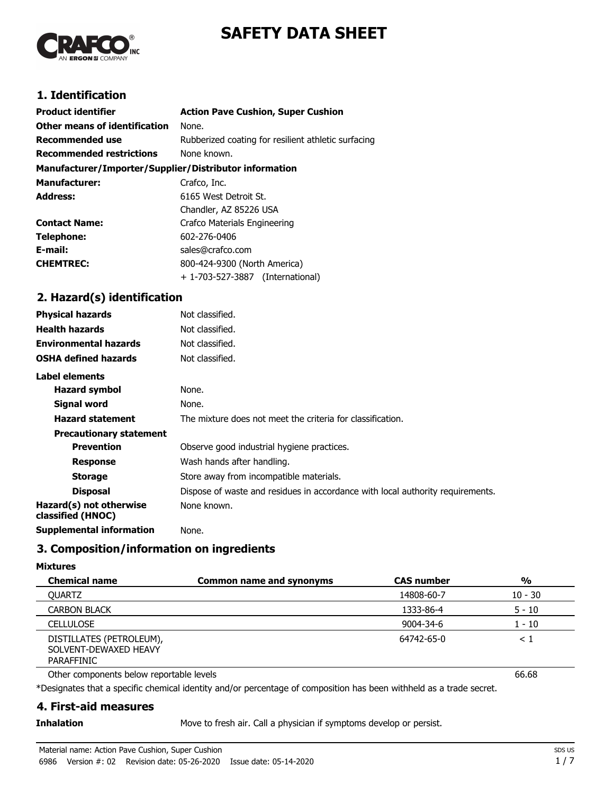



# **1. Identification**

| <b>Product identifier</b>                              | <b>Action Pave Cushion, Super Cushion</b>           |
|--------------------------------------------------------|-----------------------------------------------------|
| Other means of identification                          | None.                                               |
| <b>Recommended use</b>                                 | Rubberized coating for resilient athletic surfacing |
| <b>Recommended restrictions</b>                        | None known.                                         |
| Manufacturer/Importer/Supplier/Distributor information |                                                     |
| <b>Manufacturer:</b>                                   | Crafco, Inc.                                        |
| <b>Address:</b>                                        | 6165 West Detroit St.                               |
|                                                        | Chandler, AZ 85226 USA                              |
| <b>Contact Name:</b>                                   | Crafco Materials Engineering                        |
| Telephone:                                             | 602-276-0406                                        |
| E-mail:                                                | sales@crafco.com                                    |
| <b>CHEMTREC:</b>                                       | 800-424-9300 (North America)                        |
|                                                        | + 1-703-527-3887 (International)                    |

# **2. Hazard(s) identification**

| <b>Physical hazards</b>                      | Not classified.                                                                |
|----------------------------------------------|--------------------------------------------------------------------------------|
| <b>Health hazards</b>                        | Not classified.                                                                |
| <b>Environmental hazards</b>                 | Not classified.                                                                |
| <b>OSHA defined hazards</b>                  | Not classified.                                                                |
| Label elements                               |                                                                                |
| <b>Hazard symbol</b>                         | None.                                                                          |
| Signal word                                  | None.                                                                          |
| <b>Hazard statement</b>                      | The mixture does not meet the criteria for classification.                     |
| <b>Precautionary statement</b>               |                                                                                |
| <b>Prevention</b>                            | Observe good industrial hygiene practices.                                     |
| <b>Response</b>                              | Wash hands after handling.                                                     |
| <b>Storage</b>                               | Store away from incompatible materials.                                        |
| <b>Disposal</b>                              | Dispose of waste and residues in accordance with local authority requirements. |
| Hazard(s) not otherwise<br>classified (HNOC) | None known.                                                                    |
| <b>Supplemental information</b>              | None.                                                                          |

# **3. Composition/information on ingredients**

#### **Mixtures**

| <b>Chemical name</b>                                            | <b>Common name and synonyms</b> | <b>CAS number</b> | $\frac{1}{2}$ |
|-----------------------------------------------------------------|---------------------------------|-------------------|---------------|
| <b>OUARTZ</b>                                                   |                                 | 14808-60-7        | $10 - 30$     |
| <b>CARBON BLACK</b>                                             |                                 | 1333-86-4         | 5 - 10        |
| <b>CELLULOSE</b>                                                |                                 | 9004-34-6         | 1 - 10        |
| DISTILLATES (PETROLEUM),<br>SOLVENT-DEWAXED HEAVY<br>PARAFFINIC |                                 | 64742-65-0        |               |

Other components below reportable levels 66.68

\*Designates that a specific chemical identity and/or percentage of composition has been withheld as a trade secret.

## **4. First-aid measures**

**Inhalation** Move to fresh air. Call a physician if symptoms develop or persist.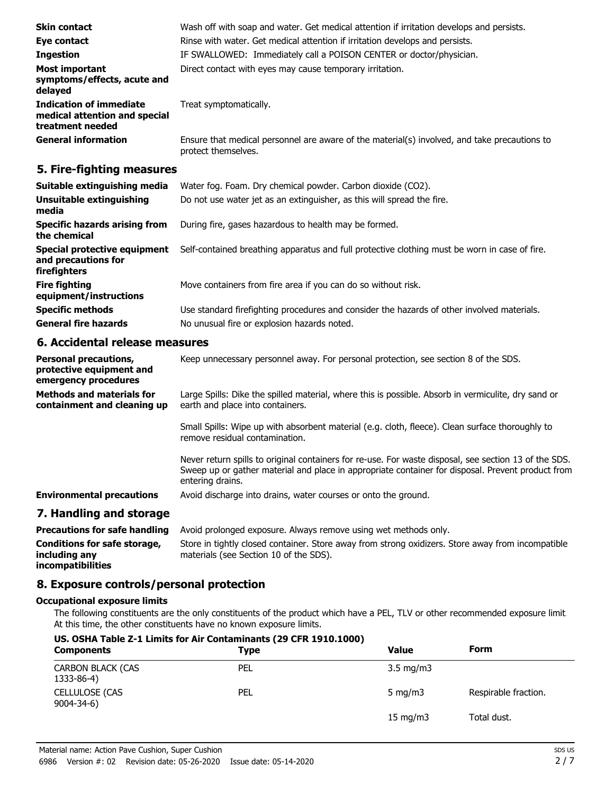| <b>Skin contact</b>                                                                 | Wash off with soap and water. Get medical attention if irritation develops and persists.                            |
|-------------------------------------------------------------------------------------|---------------------------------------------------------------------------------------------------------------------|
| Eye contact                                                                         | Rinse with water. Get medical attention if irritation develops and persists.                                        |
| <b>Ingestion</b>                                                                    | IF SWALLOWED: Immediately call a POISON CENTER or doctor/physician.                                                 |
| <b>Most important</b><br>symptoms/effects, acute and<br>delayed                     | Direct contact with eyes may cause temporary irritation.                                                            |
| <b>Indication of immediate</b><br>medical attention and special<br>treatment needed | Treat symptomatically.                                                                                              |
| <b>General information</b>                                                          | Ensure that medical personnel are aware of the material(s) involved, and take precautions to<br>protect themselves. |

## **5. Fire-fighting measures**

| Suitable extinguishing media                                        | Water fog. Foam. Dry chemical powder. Carbon dioxide (CO2).                                   |
|---------------------------------------------------------------------|-----------------------------------------------------------------------------------------------|
| Unsuitable extinguishing<br>media                                   | Do not use water jet as an extinguisher, as this will spread the fire.                        |
| Specific hazards arising from<br>the chemical                       | During fire, gases hazardous to health may be formed.                                         |
| Special protective equipment<br>and precautions for<br>firefighters | Self-contained breathing apparatus and full protective clothing must be worn in case of fire. |
| <b>Fire fighting</b><br>equipment/instructions                      | Move containers from fire area if you can do so without risk.                                 |
| <b>Specific methods</b>                                             | Use standard firefighting procedures and consider the hazards of other involved materials.    |
| <b>General fire hazards</b>                                         | No unusual fire or explosion hazards noted.                                                   |

# **6. Accidental release measures**

| <b>Personal precautions,</b><br>protective equipment and<br>emergency procedures | Keep unnecessary personnel away. For personal protection, see section 8 of the SDS.                                                                                                                                            |
|----------------------------------------------------------------------------------|--------------------------------------------------------------------------------------------------------------------------------------------------------------------------------------------------------------------------------|
| <b>Methods and materials for</b><br>containment and cleaning up                  | Large Spills: Dike the spilled material, where this is possible. Absorb in vermiculite, dry sand or<br>earth and place into containers.                                                                                        |
|                                                                                  | Small Spills: Wipe up with absorbent material (e.g. cloth, fleece). Clean surface thoroughly to<br>remove residual contamination.                                                                                              |
|                                                                                  | Never return spills to original containers for re-use. For waste disposal, see section 13 of the SDS.<br>Sweep up or gather material and place in appropriate container for disposal. Prevent product from<br>entering drains. |
| <b>Environmental precautions</b>                                                 | Avoid discharge into drains, water courses or onto the ground.                                                                                                                                                                 |
| 7. Handling and storage                                                          |                                                                                                                                                                                                                                |
| <b>Precautions for safe handling</b>                                             | Avoid prolonged exposure. Always remove using wet methods only.                                                                                                                                                                |
| Conditions for safe storage,<br>including any                                    | Store in tightly closed container. Store away from strong oxidizers. Store away from incompatible<br>materials (see Section 10 of the SDS).                                                                                    |

# **incompatibilities**

**8. Exposure controls/personal protection**

### **Occupational exposure limits**

The following constituents are the only constituents of the product which have a PEL, TLV or other recommended exposure limit. At this time, the other constituents have no known exposure limits.

# **US. OSHA Table Z-1 Limits for Air Contaminants (29 CFR 1910.1000) Components Components Components Components Form** CARBON BLACK (CAS PEL 3.5 mg/m3 1333-86-4) CELLULOSE (CAS PEL PEL Service of the Superintence of the Superintence of the Superintence of the Superintence of the Superintence of the Superintence of the Superintence of the Superintence of the Superintence of the Supe 9004-34-6) 15 mg/m3 Total dust.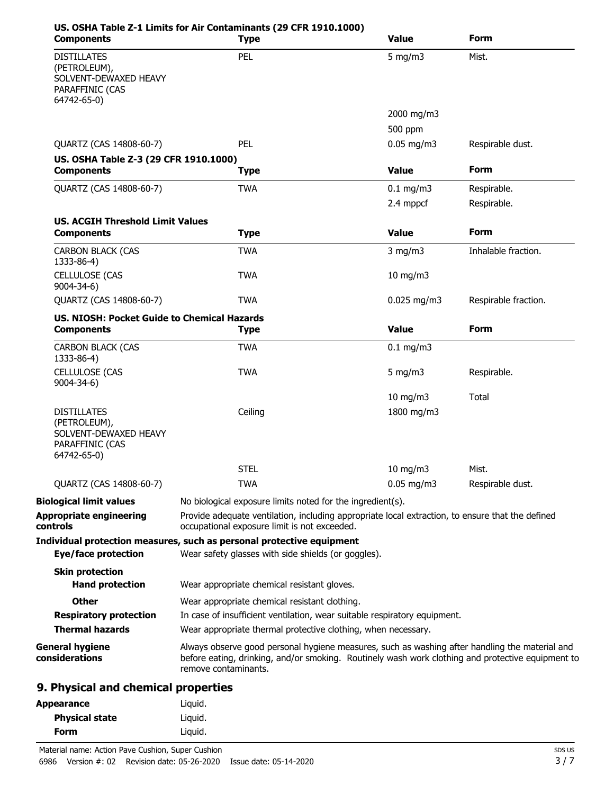| <b>Components</b>                                                                             | US. OSHA Table Z-1 Limits for Air Contaminants (29 CFR 1910.1000)<br><b>Type</b>                                                                                                                                            | <b>Value</b>  | <b>Form</b>          |
|-----------------------------------------------------------------------------------------------|-----------------------------------------------------------------------------------------------------------------------------------------------------------------------------------------------------------------------------|---------------|----------------------|
| <b>DISTILLATES</b><br>(PETROLEUM),<br>SOLVENT-DEWAXED HEAVY<br>PARAFFINIC (CAS<br>64742-65-0) | PEL                                                                                                                                                                                                                         | 5 mg/m $3$    | Mist.                |
|                                                                                               |                                                                                                                                                                                                                             | 2000 mg/m3    |                      |
|                                                                                               |                                                                                                                                                                                                                             | 500 ppm       |                      |
| QUARTZ (CAS 14808-60-7)                                                                       | PEL                                                                                                                                                                                                                         | $0.05$ mg/m3  | Respirable dust.     |
| US. OSHA Table Z-3 (29 CFR 1910.1000)<br><b>Components</b>                                    | <b>Type</b>                                                                                                                                                                                                                 | <b>Value</b>  | <b>Form</b>          |
| QUARTZ (CAS 14808-60-7)                                                                       | <b>TWA</b>                                                                                                                                                                                                                  | $0.1$ mg/m3   | Respirable.          |
|                                                                                               |                                                                                                                                                                                                                             | 2.4 mppcf     | Respirable.          |
| <b>US. ACGIH Threshold Limit Values</b>                                                       |                                                                                                                                                                                                                             |               |                      |
| <b>Components</b>                                                                             | <b>Type</b>                                                                                                                                                                                                                 | <b>Value</b>  | <b>Form</b>          |
| <b>CARBON BLACK (CAS</b><br>1333-86-4)                                                        | <b>TWA</b>                                                                                                                                                                                                                  | $3$ mg/m $3$  | Inhalable fraction.  |
| <b>CELLULOSE (CAS</b><br>9004-34-6)                                                           | <b>TWA</b>                                                                                                                                                                                                                  | 10 mg/m3      |                      |
| QUARTZ (CAS 14808-60-7)                                                                       | <b>TWA</b>                                                                                                                                                                                                                  | $0.025$ mg/m3 | Respirable fraction. |
| <b>US. NIOSH: Pocket Guide to Chemical Hazards</b>                                            |                                                                                                                                                                                                                             |               |                      |
| <b>Components</b>                                                                             | <b>Type</b>                                                                                                                                                                                                                 | <b>Value</b>  | <b>Form</b>          |
| <b>CARBON BLACK (CAS</b><br>1333-86-4)                                                        | <b>TWA</b>                                                                                                                                                                                                                  | $0.1$ mg/m3   |                      |
| <b>CELLULOSE (CAS</b><br>$9004 - 34 - 6$                                                      | <b>TWA</b>                                                                                                                                                                                                                  | 5 mg/m $3$    | Respirable.          |
|                                                                                               |                                                                                                                                                                                                                             | 10 mg/m3      | Total                |
| <b>DISTILLATES</b><br>(PETROLEUM),<br>SOLVENT-DEWAXED HEAVY<br>PARAFFINIC (CAS<br>64742-65-0) | Ceiling                                                                                                                                                                                                                     | 1800 mg/m3    |                      |
|                                                                                               | <b>STEL</b>                                                                                                                                                                                                                 | 10 mg/m $3$   | Mist.                |
| QUARTZ (CAS 14808-60-7)                                                                       | <b>TWA</b>                                                                                                                                                                                                                  | $0.05$ mg/m3  | Respirable dust.     |
| <b>Biological limit values</b>                                                                | No biological exposure limits noted for the ingredient(s).                                                                                                                                                                  |               |                      |
| <b>Appropriate engineering</b><br>controls                                                    | Provide adequate ventilation, including appropriate local extraction, to ensure that the defined<br>occupational exposure limit is not exceeded.                                                                            |               |                      |
| <b>Eye/face protection</b>                                                                    | Individual protection measures, such as personal protective equipment<br>Wear safety glasses with side shields (or goggles).                                                                                                |               |                      |
| <b>Skin protection</b><br><b>Hand protection</b>                                              | Wear appropriate chemical resistant gloves.                                                                                                                                                                                 |               |                      |
| <b>Other</b>                                                                                  | Wear appropriate chemical resistant clothing.                                                                                                                                                                               |               |                      |
| <b>Respiratory protection</b>                                                                 | In case of insufficient ventilation, wear suitable respiratory equipment.                                                                                                                                                   |               |                      |
| <b>Thermal hazards</b>                                                                        | Wear appropriate thermal protective clothing, when necessary.                                                                                                                                                               |               |                      |
| <b>General hygiene</b><br>considerations                                                      | Always observe good personal hygiene measures, such as washing after handling the material and<br>before eating, drinking, and/or smoking. Routinely wash work clothing and protective equipment to<br>remove contaminants. |               |                      |
| 9. Physical and chemical properties                                                           |                                                                                                                                                                                                                             |               |                      |
| <b>Appearance</b>                                                                             | Liquid.                                                                                                                                                                                                                     |               |                      |
|                                                                                               |                                                                                                                                                                                                                             |               |                      |

| <b>Form</b> |      |                                                   | Liauid.                                 |                        |
|-------------|------|---------------------------------------------------|-----------------------------------------|------------------------|
|             |      | Material name: Action Pave Cushion, Super Cushion |                                         |                        |
|             | 6986 |                                                   | Version #: 02 Revision date: 05-26-2020 | Issue date: 05-14-2020 |

**Physical state** Liquid.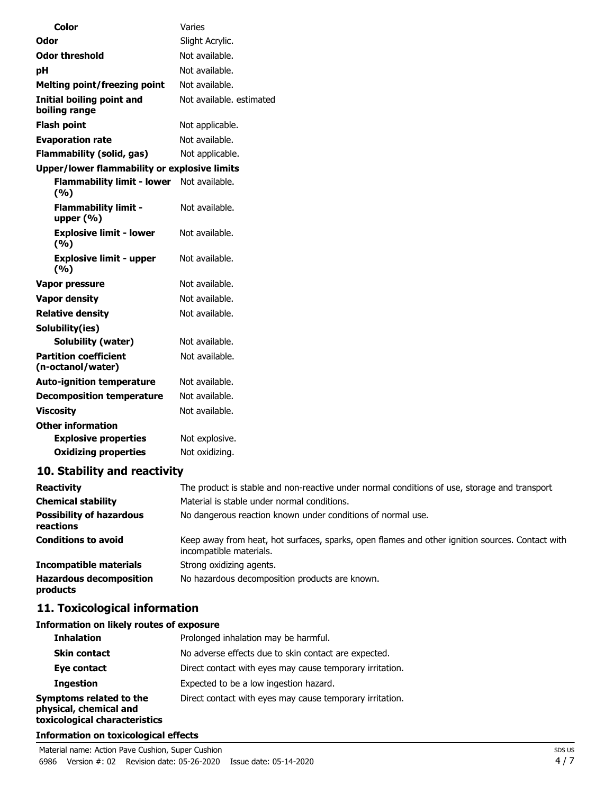| <b>Color</b>                                       | Varies                   |
|----------------------------------------------------|--------------------------|
| Odor                                               | Slight Acrylic.          |
| <b>Odor threshold</b>                              | Not available.           |
| pH                                                 | Not available.           |
| <b>Melting point/freezing point</b>                | Not available.           |
| <b>Initial boiling point and</b><br>boiling range  | Not available, estimated |
| <b>Flash point</b>                                 | Not applicable.          |
| <b>Evaporation rate</b>                            | Not available.           |
| <b>Flammability (solid, gas)</b>                   | Not applicable.          |
| Upper/lower flammability or explosive limits       |                          |
| Flammability limit - lower Not available.<br>(9/6) |                          |
| <b>Flammability limit -</b><br>upper $(\% )$       | Not available.           |
| <b>Explosive limit - lower</b><br>(9/6)            | Not available.           |
| <b>Explosive limit - upper</b><br>(9/6)            | Not available.           |
| <b>Vapor pressure</b>                              | Not available.           |
| <b>Vapor density</b>                               | Not available.           |
| <b>Relative density</b>                            | Not available.           |
| Solubility(ies)                                    |                          |
| <b>Solubility (water)</b>                          | Not available.           |
| <b>Partition coefficient</b><br>(n-octanol/water)  | Not available.           |
| <b>Auto-ignition temperature</b>                   | Not available.           |
| <b>Decomposition temperature</b>                   | Not available.           |
| <b>Viscosity</b>                                   | Not available.           |
| <b>Other information</b>                           |                          |
| <b>Explosive properties</b>                        | Not explosive.           |
| <b>Oxidizing properties</b>                        | Not oxidizing.           |
|                                                    |                          |

# **10. Stability and reactivity**

| <b>Reactivity</b>                            | The product is stable and non-reactive under normal conditions of use, storage and transport.                              |
|----------------------------------------------|----------------------------------------------------------------------------------------------------------------------------|
| <b>Chemical stability</b>                    | Material is stable under normal conditions.                                                                                |
| <b>Possibility of hazardous</b><br>reactions | No dangerous reaction known under conditions of normal use.                                                                |
| <b>Conditions to avoid</b>                   | Keep away from heat, hot surfaces, sparks, open flames and other ignition sources. Contact with<br>incompatible materials. |
| <b>Incompatible materials</b>                | Strong oxidizing agents.                                                                                                   |
| <b>Hazardous decomposition</b><br>products   | No hazardous decomposition products are known.                                                                             |

# **11. Toxicological information**

# **Information on likely routes of exposure**

| <b>Inhalation</b>                                                                  | Prolonged inhalation may be harmful.                     |  |
|------------------------------------------------------------------------------------|----------------------------------------------------------|--|
| <b>Skin contact</b>                                                                | No adverse effects due to skin contact are expected.     |  |
| Eye contact                                                                        | Direct contact with eyes may cause temporary irritation. |  |
| <b>Ingestion</b>                                                                   | Expected to be a low ingestion hazard.                   |  |
| Symptoms related to the<br>physical, chemical and<br>toxicological characteristics | Direct contact with eyes may cause temporary irritation. |  |

### **Information on toxicological effects**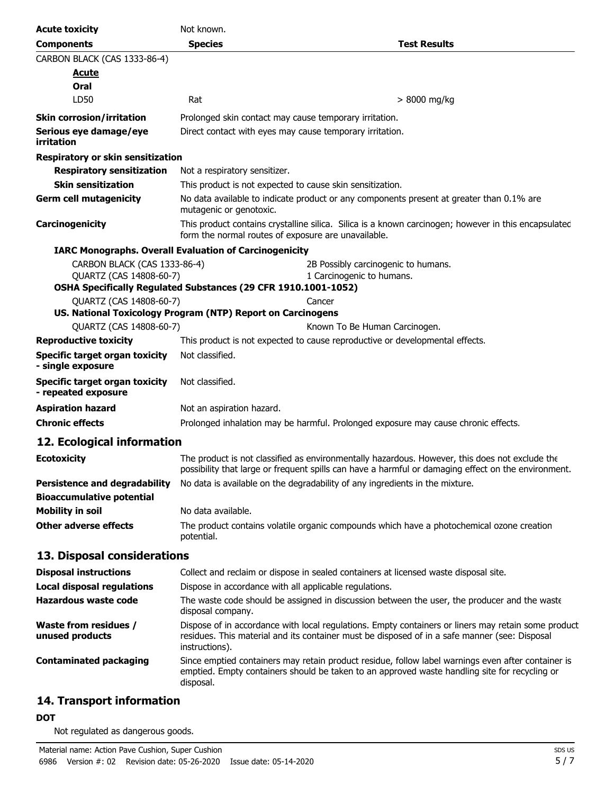| <b>Acute toxicity</b>                                                    | Not known.                                                                                                                                                                                            |                                                                                                                                                                                                      |  |
|--------------------------------------------------------------------------|-------------------------------------------------------------------------------------------------------------------------------------------------------------------------------------------------------|------------------------------------------------------------------------------------------------------------------------------------------------------------------------------------------------------|--|
| <b>Components</b>                                                        | <b>Species</b>                                                                                                                                                                                        | <b>Test Results</b>                                                                                                                                                                                  |  |
| CARBON BLACK (CAS 1333-86-4)                                             |                                                                                                                                                                                                       |                                                                                                                                                                                                      |  |
| <b>Acute</b>                                                             |                                                                                                                                                                                                       |                                                                                                                                                                                                      |  |
| Oral                                                                     |                                                                                                                                                                                                       |                                                                                                                                                                                                      |  |
| LD50                                                                     | Rat                                                                                                                                                                                                   | $> 8000$ mg/kg                                                                                                                                                                                       |  |
| <b>Skin corrosion/irritation</b>                                         | Prolonged skin contact may cause temporary irritation.                                                                                                                                                |                                                                                                                                                                                                      |  |
| Serious eye damage/eye<br>irritation                                     | Direct contact with eyes may cause temporary irritation.                                                                                                                                              |                                                                                                                                                                                                      |  |
| Respiratory or skin sensitization                                        |                                                                                                                                                                                                       |                                                                                                                                                                                                      |  |
| <b>Respiratory sensitization</b>                                         | Not a respiratory sensitizer.                                                                                                                                                                         |                                                                                                                                                                                                      |  |
| <b>Skin sensitization</b>                                                | This product is not expected to cause skin sensitization.                                                                                                                                             |                                                                                                                                                                                                      |  |
| <b>Germ cell mutagenicity</b>                                            | mutagenic or genotoxic.                                                                                                                                                                               | No data available to indicate product or any components present at greater than 0.1% are                                                                                                             |  |
| Carcinogenicity                                                          | form the normal routes of exposure are unavailable.                                                                                                                                                   | This product contains crystalline silica. Silica is a known carcinogen; however in this encapsulated                                                                                                 |  |
|                                                                          | <b>IARC Monographs. Overall Evaluation of Carcinogenicity</b>                                                                                                                                         |                                                                                                                                                                                                      |  |
| CARBON BLACK (CAS 1333-86-4)<br>QUARTZ (CAS 14808-60-7)                  | OSHA Specifically Regulated Substances (29 CFR 1910.1001-1052)                                                                                                                                        | 2B Possibly carcinogenic to humans.<br>1 Carcinogenic to humans.                                                                                                                                     |  |
| <b>OUARTZ (CAS 14808-60-7)</b>                                           |                                                                                                                                                                                                       | Cancer                                                                                                                                                                                               |  |
|                                                                          | US. National Toxicology Program (NTP) Report on Carcinogens                                                                                                                                           |                                                                                                                                                                                                      |  |
| QUARTZ (CAS 14808-60-7)                                                  |                                                                                                                                                                                                       | Known To Be Human Carcinogen.                                                                                                                                                                        |  |
| <b>Reproductive toxicity</b>                                             |                                                                                                                                                                                                       | This product is not expected to cause reproductive or developmental effects.                                                                                                                         |  |
| <b>Specific target organ toxicity</b><br>- single exposure               | Not classified.                                                                                                                                                                                       |                                                                                                                                                                                                      |  |
| <b>Specific target organ toxicity</b><br>- repeated exposure             | Not classified.                                                                                                                                                                                       |                                                                                                                                                                                                      |  |
| <b>Aspiration hazard</b>                                                 | Not an aspiration hazard.                                                                                                                                                                             |                                                                                                                                                                                                      |  |
| <b>Chronic effects</b>                                                   | Prolonged inhalation may be harmful. Prolonged exposure may cause chronic effects.                                                                                                                    |                                                                                                                                                                                                      |  |
| 12. Ecological information                                               |                                                                                                                                                                                                       |                                                                                                                                                                                                      |  |
| <b>Ecotoxicity</b>                                                       | The product is not classified as environmentally hazardous. However, this does not exclude the<br>possibility that large or frequent spills can have a harmful or damaging effect on the environment. |                                                                                                                                                                                                      |  |
| <b>Persistence and degradability</b><br><b>Bioaccumulative potential</b> |                                                                                                                                                                                                       | No data is available on the degradability of any ingredients in the mixture.                                                                                                                         |  |
| <b>Mobility in soil</b>                                                  | No data available.                                                                                                                                                                                    |                                                                                                                                                                                                      |  |
| <b>Other adverse effects</b>                                             | potential.                                                                                                                                                                                            | The product contains volatile organic compounds which have a photochemical ozone creation                                                                                                            |  |
| 13. Disposal considerations                                              |                                                                                                                                                                                                       |                                                                                                                                                                                                      |  |
| <b>Disposal instructions</b>                                             |                                                                                                                                                                                                       | Collect and reclaim or dispose in sealed containers at licensed waste disposal site.                                                                                                                 |  |
| <b>Local disposal regulations</b>                                        | Dispose in accordance with all applicable regulations.                                                                                                                                                |                                                                                                                                                                                                      |  |
| <b>Hazardous waste code</b>                                              | disposal company.                                                                                                                                                                                     | The waste code should be assigned in discussion between the user, the producer and the waste                                                                                                         |  |
| Waste from residues /<br>unused products                                 | instructions).                                                                                                                                                                                        | Dispose of in accordance with local regulations. Empty containers or liners may retain some product<br>residues. This material and its container must be disposed of in a safe manner (see: Disposal |  |
| <b>Contaminated packaging</b>                                            | disposal.                                                                                                                                                                                             | Since emptied containers may retain product residue, follow label warnings even after container is<br>emptied. Empty containers should be taken to an approved waste handling site for recycling or  |  |
|                                                                          |                                                                                                                                                                                                       |                                                                                                                                                                                                      |  |

# **14. Transport information**

## **DOT**

Not regulated as dangerous goods.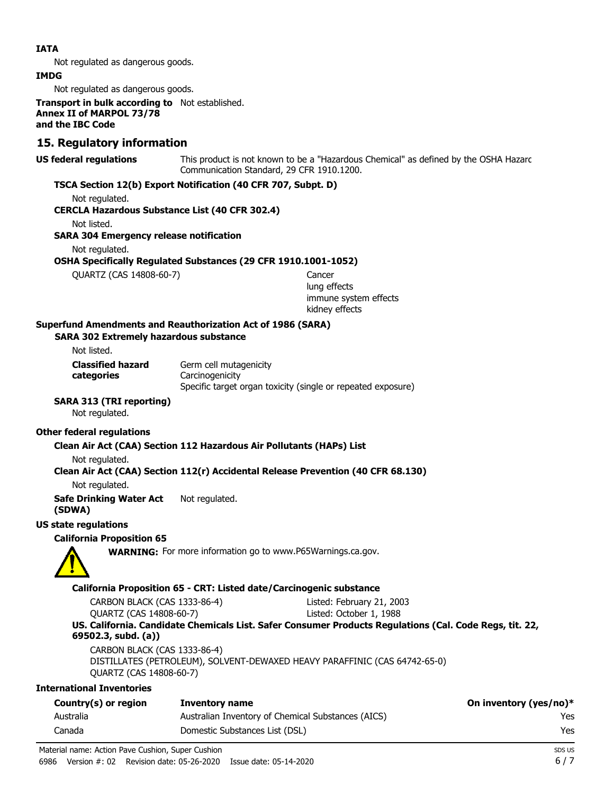#### **IATA**

Not regulated as dangerous goods.

#### **IMDG**

Not regulated as dangerous goods.

**Transport in bulk according to** Not established. **Annex II of MARPOL 73/78 and the IBC Code**

## **15. Regulatory information**

**US federal regulations**

This product is not known to be a "Hazardous Chemical" as defined by the OSHA Hazard Communication Standard, 29 CFR 1910.1200.

#### **TSCA Section 12(b) Export Notification (40 CFR 707, Subpt. D)**

Not regulated.

#### **CERCLA Hazardous Substance List (40 CFR 302.4)**

Not listed.

#### **SARA 304 Emergency release notification**

Not regulated.

**OSHA Specifically Regulated Substances (29 CFR 1910.1001-1052)**

QUARTZ (CAS 14808-60-7) Cancer

lung effects immune system effects kidney effects

#### **Superfund Amendments and Reauthorization Act of 1986 (SARA)**

#### **SARA 302 Extremely hazardous substance**

Not listed.

**categories**

Germ cell mutagenicity **Carcinogenicity** Specific target organ toxicity (single or repeated exposure) **Classified hazard**

## **SARA 313 (TRI reporting)**

Not regulated.

## **Other federal regulations**

### **Clean Air Act (CAA) Section 112 Hazardous Air Pollutants (HAPs) List**

Not regulated.

### **Clean Air Act (CAA) Section 112(r) Accidental Release Prevention (40 CFR 68.130)**

Not regulated.

**Safe Drinking Water Act** Not regulated.

**(SDWA)**

## **US state regulations**

#### **California Proposition 65**

**WARNING:** For more information go to www.P65Warnings.ca.gov.

#### **California Proposition 65 - CRT: Listed date/Carcinogenic substance**

| CARBON BLACK (CAS 1333-86-4) | Listed: February 21, 2003                                                                               |
|------------------------------|---------------------------------------------------------------------------------------------------------|
| QUARTZ (CAS 14808-60-7)      | Listed: October 1, 1988                                                                                 |
|                              | US. California. Candidate Chemicals List. Safer Consumer Products Regulations (Cal. Code Regs, tit. 22, |
| 69502.3, subd. (a))          |                                                                                                         |

CARBON BLACK (CAS 1333-86-4) DISTILLATES (PETROLEUM), SOLVENT-DEWAXED HEAVY PARAFFINIC (CAS 64742-65-0) QUARTZ (CAS 14808-60-7)

#### **International Inventories**

| Country(s) or region | Inventory name                                     | On inventory (yes/no)* |
|----------------------|----------------------------------------------------|------------------------|
| Australia            | Australian Inventory of Chemical Substances (AICS) | Yes                    |
| Canada               | Domestic Substances List (DSL)                     | Yes                    |